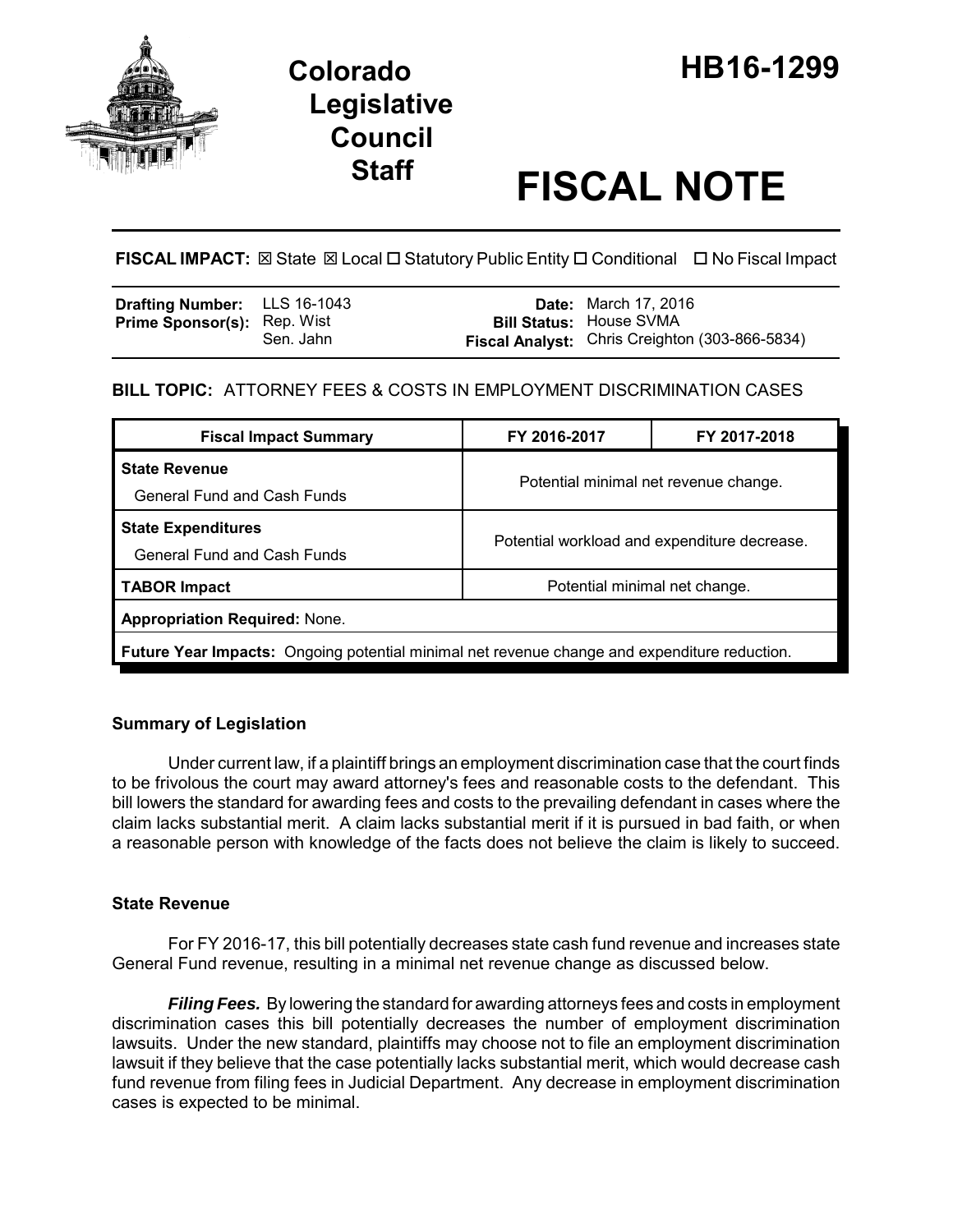

# **Legislative Council**

# **Staff FISCAL NOTE**

**FISCAL IMPACT:** ⊠ State ⊠ Local □ Statutory Public Entity □ Conditional □ No Fiscal Impact

| <b>Drafting Number:</b> LLS 16-1043 |           | <b>Date:</b> March 17, 2016                    |
|-------------------------------------|-----------|------------------------------------------------|
| <b>Prime Sponsor(s): Rep. Wist</b>  |           | <b>Bill Status: House SVMA</b>                 |
|                                     | Sen. Jahn | Fiscal Analyst: Chris Creighton (303-866-5834) |

# **BILL TOPIC:** ATTORNEY FEES & COSTS IN EMPLOYMENT DISCRIMINATION CASES

| <b>Fiscal Impact Summary</b>                                                                        | FY 2016-2017                                 | FY 2017-2018 |  |  |  |
|-----------------------------------------------------------------------------------------------------|----------------------------------------------|--------------|--|--|--|
| <b>State Revenue</b><br><b>General Fund and Cash Funds</b>                                          | Potential minimal net revenue change.        |              |  |  |  |
| <b>State Expenditures</b><br><b>General Fund and Cash Funds</b>                                     | Potential workload and expenditure decrease. |              |  |  |  |
| <b>TABOR Impact</b>                                                                                 | Potential minimal net change.                |              |  |  |  |
| <b>Appropriation Required: None.</b>                                                                |                                              |              |  |  |  |
| <b>Future Year Impacts:</b> Ongoing potential minimal net revenue change and expenditure reduction. |                                              |              |  |  |  |

# **Summary of Legislation**

Under current law, if a plaintiff brings an employment discrimination case that the court finds to be frivolous the court may award attorney's fees and reasonable costs to the defendant. This bill lowers the standard for awarding fees and costs to the prevailing defendant in cases where the claim lacks substantial merit. A claim lacks substantial merit if it is pursued in bad faith, or when a reasonable person with knowledge of the facts does not believe the claim is likely to succeed.

# **State Revenue**

For FY 2016-17, this bill potentially decreases state cash fund revenue and increases state General Fund revenue, resulting in a minimal net revenue change as discussed below.

*Filing Fees.* By lowering the standard for awarding attorneys fees and costs in employment discrimination cases this bill potentially decreases the number of employment discrimination lawsuits. Under the new standard, plaintiffs may choose not to file an employment discrimination lawsuit if they believe that the case potentially lacks substantial merit, which would decrease cash fund revenue from filing fees in Judicial Department. Any decrease in employment discrimination cases is expected to be minimal.